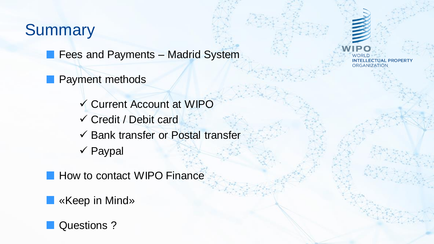### **Summary**

**Fees and Payments – Madrid System** 

Payment methods

 Current Account at WIPO Credit / Debit card  $\checkmark$  Bank transfer or Postal transfer  $\checkmark$  Paypal

**How to contact WIPO Finance** 

«Keep in Mind»



**INTELLECTUAL PROPERTY ORGANIZATION**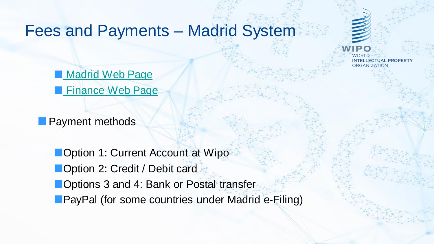#### Fees and Payments – Madrid System

INTELLECTUAL PROPERT' ORGANIZATION

**[Madrid Web Page](https://www.wipo.int/madrid/en/) [Finance Web Page](https://www.wipo.int/finance/en/madrid.html)** 

**Payment methods** 

**Option 1: Current Account at Wipo Option 2: Credit / Debit card Options 3 and 4: Bank or Postal transfer PayPal (for some countries under Madrid e-Filing)**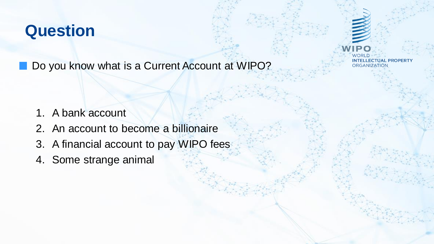Do you know what is a Current Account at WIPO?

- 1. A bank account
- 2. An account to become a billionaire
- 3. A financial account to pay WIPO fees
- 4. Some strange animal

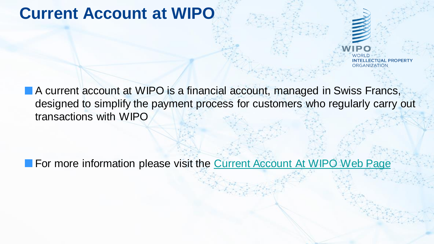# **Current Account at WIPO**

■ A current account at WIPO is a financial account, managed in Swiss Francs, designed to simplify the payment process for customers who regularly carry out transactions with WIPO

For more information please visit the [Current Account At WIPO Web Page](https://www3.wipo.int/currentaccount/public/index.xhtml)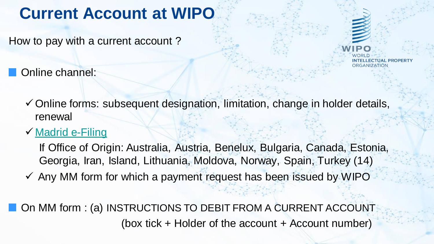# **Current Account at WIPO**

How to pay with a current account ?

Online channel:



#### **√ Madrid e-Filing**

If Office of Origin: Australia, Austria, Benelux, Bulgaria, Canada, Estonia, Georgia, Iran, Island, Lithuania, Moldova, Norway, Spain, Turkey (14)

 $\checkmark$  Any MM form for which a payment request has been issued by WIPO

■ On MM form : (a) INSTRUCTIONS TO DEBIT FROM A CURRENT ACCOUNT (box tick  $+$  Holder of the account  $+$  Account number)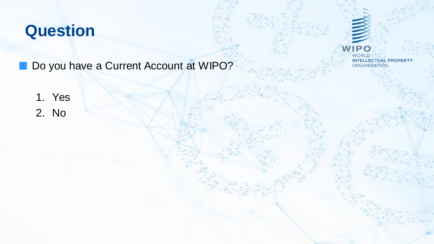Do you have a Current Account at WIPO?

WORLD<br>INTELLECTUAL PROPERTY<br>ORGANIZATION

**IPO** 

1. Yes 2. No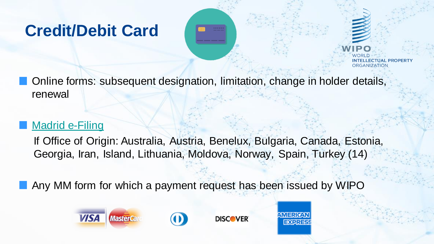# **Credit/Debit Card**



ORGANIZATION

Online forms: subsequent designation, limitation, change in holder details, renewal

#### Madrid e-Filing

If Office of Origin: Australia, Austria, Benelux, Bulgaria, Canada, Estonia, Georgia, Iran, Island, Lithuania, Moldova, Norway, Spain, Turkey (14)

**MERIC** 

**EXPRESS** 

Any MM form for which a payment request has been issued by WIPO

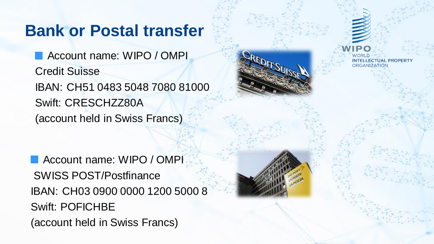### **Bank or Postal transfer**

**Account name: WIPO / OMPI** Credit Suisse IBAN: CH51 0483 5048 7080 81000 Swift: CRESCHZZ80A (account held in Swiss Francs)

**Account name: WIPO / OMPI** SWISS POST/Postfinance IBAN: CH03 0900 0000 1200 5000 8 Swift: POFICHBE (account held in Swiss Francs)

INTELL FCTUAL PROPERT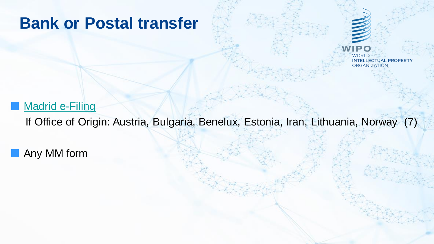#### **Bank or Postal transfer**



#### **Madrid e-Filing**

If Office of Origin: Austria, Bulgaria, Benelux, Estonia, Iran, Lithuania, Norway (7)

**Any MM form**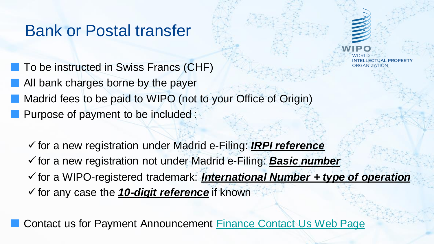#### Bank or Postal transfer

■ To be instructed in Swiss Francs (CHF) **All bank charges borne by the payer Madrid fees to be paid to WIPO (not to your Office of Origin) Purpose of payment to be included:** 

for a new registration under Madrid e-Filing: *IRPI reference* for a new registration not under Madrid e-Filing: *Basic number* for a WIPO-registered trademark: *International Number + type of operation* for any case the *10-digit reference* if known

**Contact us for Payment Announcement [Finance Contact Us Web Page](https://www3.wipo.int/contact/en/area.jsp?area=finance)**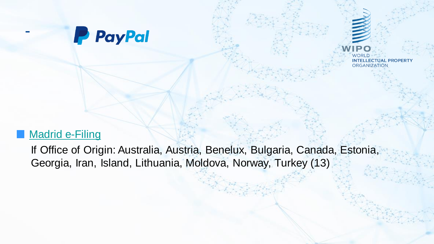

WORLD **INTELLECTUAL PROPERTY ORGANIZATION** 

#### Madrid e-Filing

-

If Office of Origin: Australia, Austria, Benelux, Bulgaria, Canada, Estonia, Georgia, Iran, Island, Lithuania, Moldova, Norway, Turkey (13)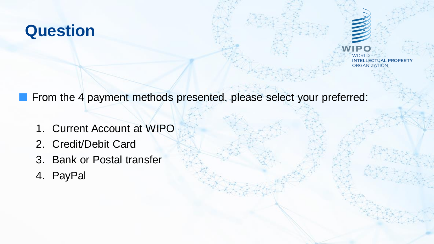WORLD **INTELLECTUAL PROPERTY ORGANIZATION** 

From the 4 payment methods presented, please select your preferred:

- 1. Current Account at WIPO
- 2. Credit/Debit Card
- 3. Bank or Postal transfer
- 4. PayPal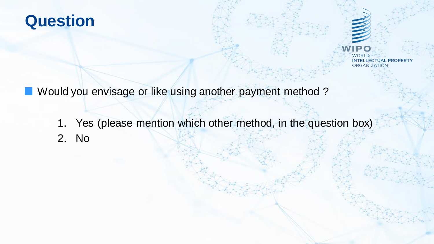WORLD **INTELLECTUAL PROPERTY** ORGANIZATION

**Nould you envisage or like using another payment method?** 

1. Yes (please mention which other method, in the question box) 2. No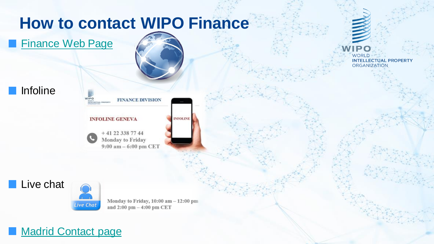# **How to contact WIPO Finance**

**[Finance Web Page](https://www.wipo.int/finance/en/)** 











Monday to Friday,  $10:00$  am  $-12:00$  pm and 2:00 pm - 4:00 pm CET



IP O **WORLD INTELLECTUAL PROPERTY ORGANIZATION**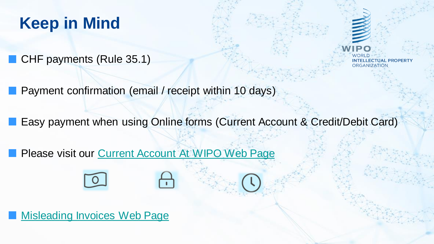# **Keep in Mind**

CHF payments (Rule 35.1)

INTELLECTUAL PROPERTY **ORGANIZATION** 

Payment confirmation (email / receipt within 10 days)

Easy payment when using Online forms (Current Account & Credit/Debit Card)

Please visit our [Current Account At WIPO Web Page](https://www3.wipo.int/currentaccount/public/index.xhtml)

[Misleading Invoices Web Page](https://www.wipo.int/madrid/en/fees/invoices.html)